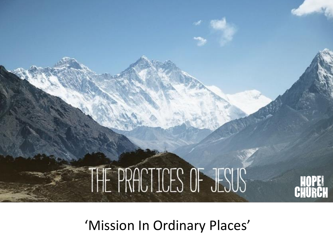

'Mission In Ordinary Places'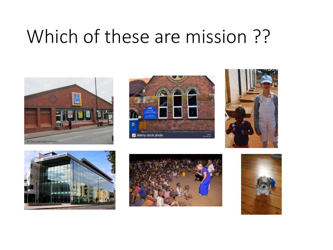### Which of these are mission ??











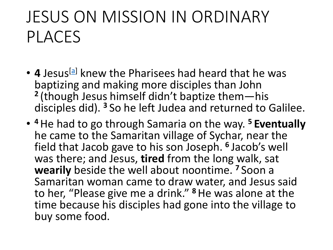#### JESUS ON MISSION IN ORDINARY PLACES

- 4 Jesus<sup>[\[a\]](https://www.biblegateway.com/passage/?search=John+4&version=NLT#fen-NLT-26124a)</sup> knew the Pharisees had heard that he was baptizing and making more disciples than John **2** (though Jesus himself didn't baptize them—his disciples did). **<sup>3</sup>** So he left Judea and returned to Galilee.
- **<sup>4</sup>**He had to go through Samaria on the way. **<sup>5</sup> Eventually** he came to the Samaritan village of Sychar, near the field that Jacob gave to his son Joseph. **<sup>6</sup>** Jacob's well was there; and Jesus, **tired** from the long walk, sat **wearily** beside the well about noontime. **<sup>7</sup>** Soon a Samaritan woman came to draw water, and Jesus said to her, "Please give me a drink." **<sup>8</sup>**He was alone at the time because his disciples had gone into the village to buy some food.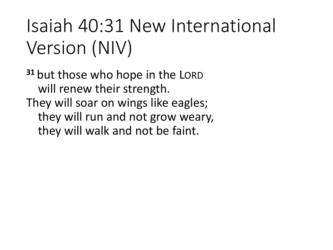## Isaiah 40:31 New International Version (NIV)

**<sup>31</sup>** but those who hope in the LORD will renew their strength. They will soar on wings like eagles; they will run and not grow weary, they will walk and not be faint.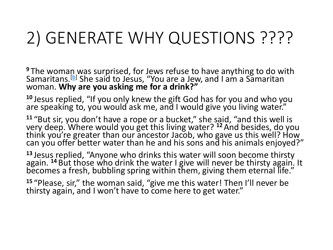#### 2) GENERATE WHY QUESTIONS ????

<sup>9</sup> The woman was surprised, for Jews refuse to have anything to do with Samaritans.<sup>[<u>b</u>]</sup> She said to Jesus, "You are a Jew, and I am a Samaritan woman. **Why are you asking me for a drink?"**

**<sup>10</sup>** Jesus replied, "If you only knew the gift God has for you and who you are speaking to, you would ask me, and I would give you living water."

**<sup>11</sup>** "But sir, you don't have a rope or a bucket," she said, "and this well is very deep. Where would you get this living water? **<sup>12</sup>** And besides, do you think you're greater than our ancestor Jacob, who gave us this well? How can you offer better water than he and his sons and his animals enjoyed?"

**<sup>13</sup>** Jesus replied, "Anyone who drinks this water will soon become thirsty again. <sup>14</sup> But those who drink the water I give will never be thirsty again. It becomes a fresh, bubbling spring within them, giving them eternal life."

**<sup>15</sup>** "Please, sir," the woman said, "give me this water! Then I'll never be thirsty again, and I won't have to come here to get water."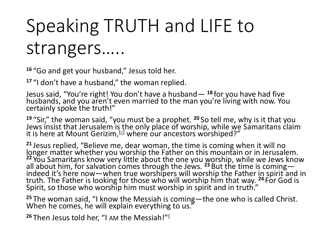# Speaking TRUTH and LIFE to strangers…..

**<sup>16</sup>** "Go and get your husband," Jesus told her.

**<sup>17</sup>** "I don't have a husband," the woman replied.

Jesus said, "You're right! You don't have a husband— **<sup>18</sup>** for you have had five husbands, and you aren't even married to the man you're living with now. You certainly spoke the truth!"

**<sup>19</sup>** "Sir," the woman said, "you must be a prophet. **<sup>20</sup>** So tell me, why is it that you Jews insist that Jerusalem is the only place of worship, while we Samaritans claim it is here at Mount Gerizim,<sup>[[c\]](https://www.biblegateway.com/passage/?search=John+4&version=NLT#fen-NLT-26143c)</sup> where our ancestors worshiped?"

**<sup>21</sup>** Jesus replied, "Believe me, dear woman, the time is coming when it will no longer matter whether you worship the Father on this mountain or in Jerusalem. <sup>22</sup> You Samaritans know very little about the one you worship, while we Jews know all about him, for salvation comes through the Jews. <sup>23</sup> But the time is coming indeed it's here now—when true worshipers will worship the Father in spirit and in truth. The Father is looking for those who will worship him that way. **<sup>24</sup>** For God is Spirit, so those who worship him must worship in spirit and in truth."

**<sup>25</sup>** The woman said, "I know the Messiah is coming—the one who is called Christ. When he comes, he will explain everything to us."

**<sup>26</sup>** Then Jesus told her, "I AM the Messiah!"[